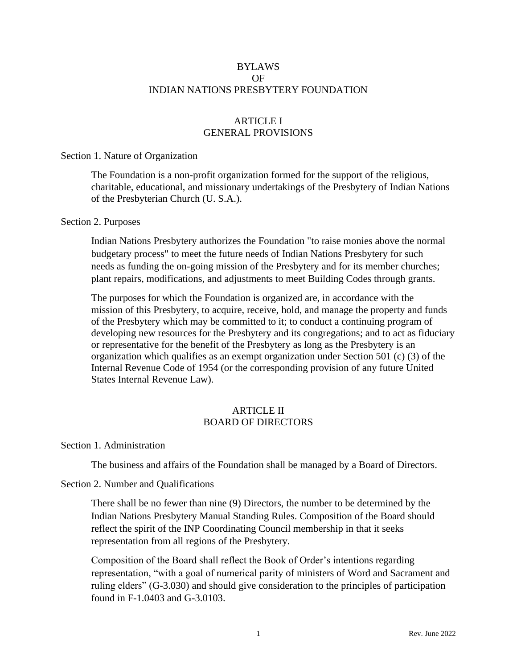# BYLAWS OF INDIAN NATIONS PRESBYTERY FOUNDATION

# ARTICLE I GENERAL PROVISIONS

#### Section 1. Nature of Organization

The Foundation is a non-profit organization formed for the support of the religious, charitable, educational, and missionary undertakings of the Presbytery of Indian Nations of the Presbyterian Church (U. S.A.).

#### Section 2. Purposes

Indian Nations Presbytery authorizes the Foundation "to raise monies above the normal budgetary process" to meet the future needs of Indian Nations Presbytery for such needs as funding the on-going mission of the Presbytery and for its member churches; plant repairs, modifications, and adjustments to meet Building Codes through grants.

The purposes for which the Foundation is organized are, in accordance with the mission of this Presbytery, to acquire, receive, hold, and manage the property and funds of the Presbytery which may be committed to it; to conduct a continuing program of developing new resources for the Presbytery and its congregations; and to act as fiduciary or representative for the benefit of the Presbytery as long as the Presbytery is an organization which qualifies as an exempt organization under Section 501 (c) (3) of the Internal Revenue Code of 1954 (or the corresponding provision of any future United States Internal Revenue Law).

# **ARTICLE II** BOARD OF DIRECTORS

#### Section 1. Administration

The business and affairs of the Foundation shall be managed by a Board of Directors.

#### Section 2. Number and Qualifications

There shall be no fewer than nine (9) Directors, the number to be determined by the Indian Nations Presbytery Manual Standing Rules. Composition of the Board should reflect the spirit of the INP Coordinating Council membership in that it seeks representation from all regions of the Presbytery.

Composition of the Board shall reflect the Book of Order's intentions regarding representation, "with a goal of numerical parity of ministers of Word and Sacrament and ruling elders" (G-3.030) and should give consideration to the principles of participation found in F-1.0403 and G-3.0103.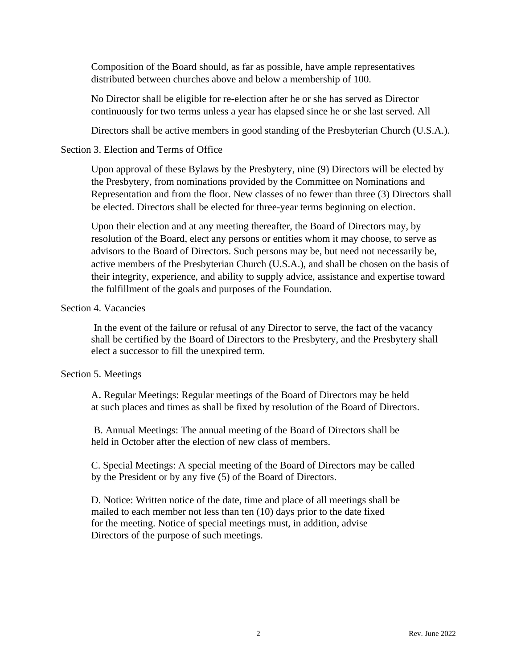Composition of the Board should, as far as possible, have ample representatives distributed between churches above and below a membership of 100.

No Director shall be eligible for re-election after he or she has served as Director continuously for two terms unless a year has elapsed since he or she last served. All

Directors shall be active members in good standing of the Presbyterian Church (U.S.A.).

### Section 3. Election and Terms of Office

Upon approval of these Bylaws by the Presbytery, nine (9) Directors will be elected by the Presbytery, from nominations provided by the Committee on Nominations and Representation and from the floor. New classes of no fewer than three (3) Directors shall be elected. Directors shall be elected for three-year terms beginning on election.

Upon their election and at any meeting thereafter, the Board of Directors may, by resolution of the Board, elect any persons or entities whom it may choose, to serve as advisors to the Board of Directors. Such persons may be, but need not necessarily be, active members of the Presbyterian Church (U.S.A.), and shall be chosen on the basis of their integrity, experience, and ability to supply advice, assistance and expertise toward the fulfillment of the goals and purposes of the Foundation.

# Section 4. Vacancies

In the event of the failure or refusal of any Director to serve, the fact of the vacancy shall be certified by the Board of Directors to the Presbytery, and the Presbytery shall elect a successor to fill the unexpired term.

# Section 5. Meetings

A. Regular Meetings: Regular meetings of the Board of Directors may be held at such places and times as shall be fixed by resolution of the Board of Directors.

B. Annual Meetings: The annual meeting of the Board of Directors shall be held in October after the election of new class of members.

C. Special Meetings: A special meeting of the Board of Directors may be called by the President or by any five (5) of the Board of Directors.

D. Notice: Written notice of the date, time and place of all meetings shall be mailed to each member not less than ten (10) days prior to the date fixed for the meeting. Notice of special meetings must, in addition, advise Directors of the purpose of such meetings.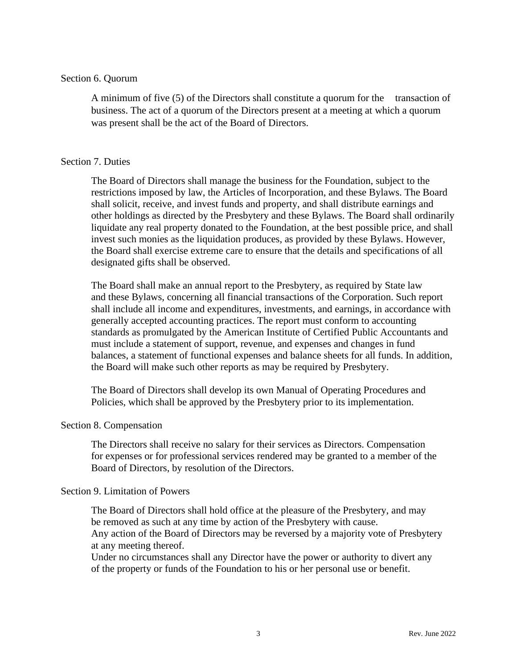### Section 6. Quorum

A minimum of five (5) of the Directors shall constitute a quorum for the transaction of business. The act of a quorum of the Directors present at a meeting at which a quorum was present shall be the act of the Board of Directors.

## Section 7. Duties

The Board of Directors shall manage the business for the Foundation, subject to the restrictions imposed by law, the Articles of Incorporation, and these Bylaws. The Board shall solicit, receive, and invest funds and property, and shall distribute earnings and other holdings as directed by the Presbytery and these Bylaws. The Board shall ordinarily liquidate any real property donated to the Foundation, at the best possible price, and shall invest such monies as the liquidation produces, as provided by these Bylaws. However, the Board shall exercise extreme care to ensure that the details and specifications of all designated gifts shall be observed.

The Board shall make an annual report to the Presbytery, as required by State law and these Bylaws, concerning all financial transactions of the Corporation. Such report shall include all income and expenditures, investments, and earnings, in accordance with generally accepted accounting practices. The report must conform to accounting standards as promulgated by the American Institute of Certified Public Accountants and must include a statement of support, revenue, and expenses and changes in fund balances, a statement of functional expenses and balance sheets for all funds. In addition, the Board will make such other reports as may be required by Presbytery.

The Board of Directors shall develop its own Manual of Operating Procedures and Policies, which shall be approved by the Presbytery prior to its implementation.

#### Section 8. Compensation

The Directors shall receive no salary for their services as Directors. Compensation for expenses or for professional services rendered may be granted to a member of the Board of Directors, by resolution of the Directors.

# Section 9. Limitation of Powers

The Board of Directors shall hold office at the pleasure of the Presbytery, and may be removed as such at any time by action of the Presbytery with cause. Any action of the Board of Directors may be reversed by a majority vote of Presbytery at any meeting thereof.

Under no circumstances shall any Director have the power or authority to divert any of the property or funds of the Foundation to his or her personal use or benefit.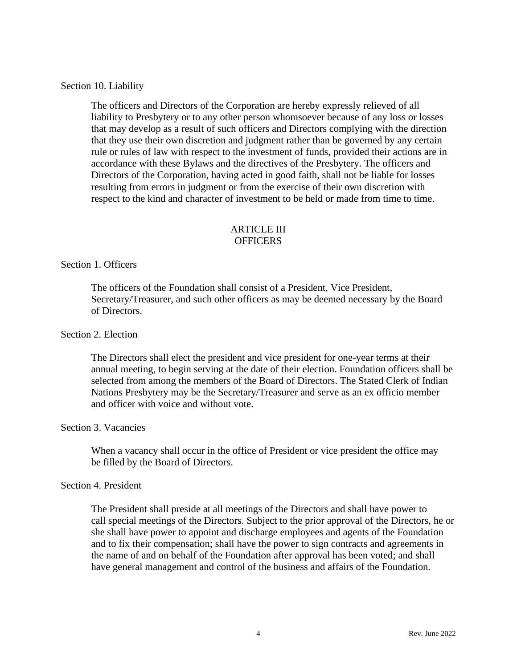Section 10. Liability

The officers and Directors of the Corporation are hereby expressly relieved of all liability to Presbytery or to any other person whomsoever because of any loss or losses that may develop as a result of such officers and Directors complying with the direction that they use their own discretion and judgment rather than be governed by any certain rule or rules of law with respect to the investment of funds, provided their actions are in accordance with these Bylaws and the directives of the Presbytery. The officers and Directors of the Corporation, having acted in good faith, shall not be liable for losses resulting from errors in judgment or from the exercise of their own discretion with respect to the kind and character of investment to be held or made from time to time.

# ARTICLE III **OFFICERS**

## Section 1. Officers

The officers of the Foundation shall consist of a President, Vice President, Secretary/Treasurer, and such other officers as may be deemed necessary by the Board of Directors.

# Section 2. Election

The Directors shall elect the president and vice president for one-year terms at their annual meeting, to begin serving at the date of their election. Foundation officers shall be selected from among the members of the Board of Directors. The Stated Clerk of Indian Nations Presbytery may be the Secretary/Treasurer and serve as an ex officio member and officer with voice and without vote.

### Section 3. Vacancies

When a vacancy shall occur in the office of President or vice president the office may be filled by the Board of Directors.

#### Section 4. President

The President shall preside at all meetings of the Directors and shall have power to call special meetings of the Directors. Subject to the prior approval of the Directors, he or she shall have power to appoint and discharge employees and agents of the Foundation and to fix their compensation; shall have the power to sign contracts and agreements in the name of and on behalf of the Foundation after approval has been voted; and shall have general management and control of the business and affairs of the Foundation.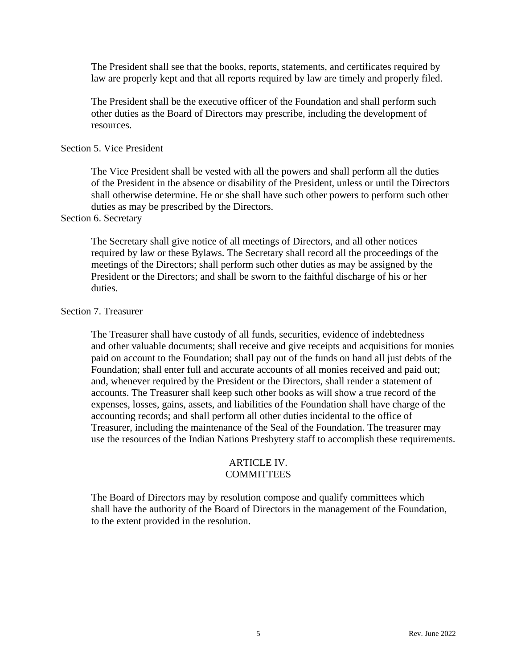The President shall see that the books, reports, statements, and certificates required by law are properly kept and that all reports required by law are timely and properly filed.

The President shall be the executive officer of the Foundation and shall perform such other duties as the Board of Directors may prescribe, including the development of resources.

### Section 5. Vice President

The Vice President shall be vested with all the powers and shall perform all the duties of the President in the absence or disability of the President, unless or until the Directors shall otherwise determine. He or she shall have such other powers to perform such other duties as may be prescribed by the Directors.

#### Section 6. Secretary

The Secretary shall give notice of all meetings of Directors, and all other notices required by law or these Bylaws. The Secretary shall record all the proceedings of the meetings of the Directors; shall perform such other duties as may be assigned by the President or the Directors; and shall be sworn to the faithful discharge of his or her duties.

# Section 7. Treasurer

The Treasurer shall have custody of all funds, securities, evidence of indebtedness and other valuable documents; shall receive and give receipts and acquisitions for monies paid on account to the Foundation; shall pay out of the funds on hand all just debts of the Foundation; shall enter full and accurate accounts of all monies received and paid out; and, whenever required by the President or the Directors, shall render a statement of accounts. The Treasurer shall keep such other books as will show a true record of the expenses, losses, gains, assets, and liabilities of the Foundation shall have charge of the accounting records; and shall perform all other duties incidental to the office of Treasurer, including the maintenance of the Seal of the Foundation. The treasurer may use the resources of the Indian Nations Presbytery staff to accomplish these requirements.

### ARTICLE IV. **COMMITTEES**

The Board of Directors may by resolution compose and qualify committees which shall have the authority of the Board of Directors in the management of the Foundation, to the extent provided in the resolution.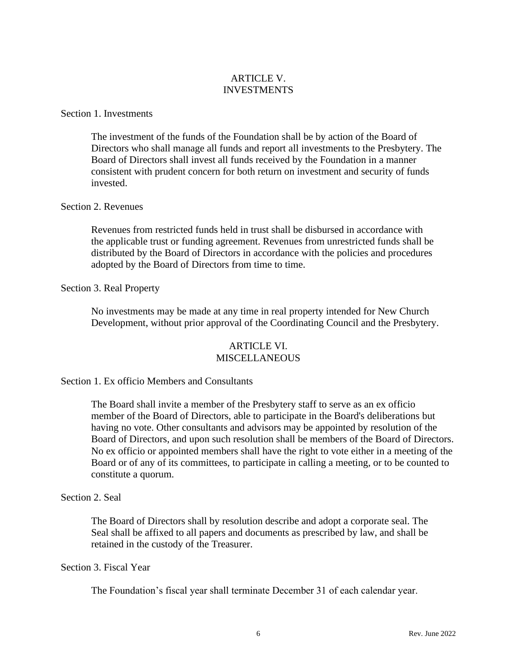# ARTICLE V. INVESTMENTS

### Section 1. Investments

The investment of the funds of the Foundation shall be by action of the Board of Directors who shall manage all funds and report all investments to the Presbytery. The Board of Directors shall invest all funds received by the Foundation in a manner consistent with prudent concern for both return on investment and security of funds invested.

## Section 2. Revenues

Revenues from restricted funds held in trust shall be disbursed in accordance with the applicable trust or funding agreement. Revenues from unrestricted funds shall be distributed by the Board of Directors in accordance with the policies and procedures adopted by the Board of Directors from time to time.

Section 3. Real Property

No investments may be made at any time in real property intended for New Church Development, without prior approval of the Coordinating Council and the Presbytery.

# ARTICLE VI. **MISCELLANEOUS**

Section 1. Ex officio Members and Consultants

The Board shall invite a member of the Presbytery staff to serve as an ex officio member of the Board of Directors, able to participate in the Board's deliberations but having no vote. Other consultants and advisors may be appointed by resolution of the Board of Directors, and upon such resolution shall be members of the Board of Directors. No ex officio or appointed members shall have the right to vote either in a meeting of the Board or of any of its committees, to participate in calling a meeting, or to be counted to constitute a quorum.

## Section 2. Seal

The Board of Directors shall by resolution describe and adopt a corporate seal. The Seal shall be affixed to all papers and documents as prescribed by law, and shall be retained in the custody of the Treasurer.

### Section 3. Fiscal Year

The Foundation's fiscal year shall terminate December 31 of each calendar year.